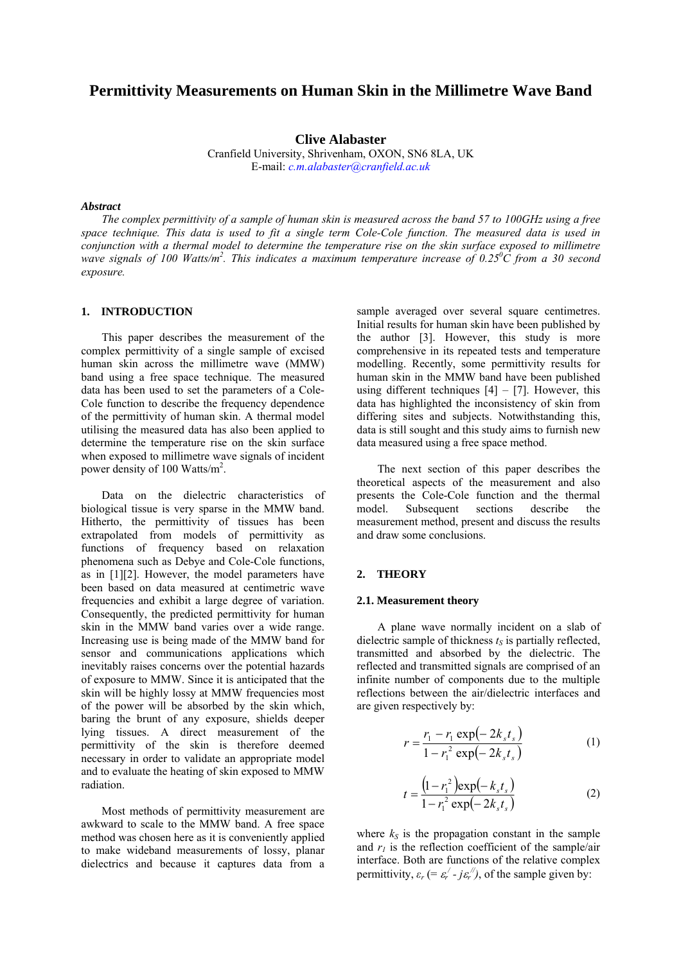# **Permittivity Measurements on Human Skin in the Millimetre Wave Band**

**Clive Alabaster** 

Cranfield University, Shrivenham, OXON, SN6 8LA, UK E-mail: *[c.m.alabaster@cranfield.ac.uk](mailto:c.m.alabaster@cranfield.ac.uk)*

## *Abstract*

*The complex permittivity of a sample of human skin is measured across the band 57 to 100GHz using a free space technique. This data is used to fit a single term Cole-Cole function. The measured data is used in conjunction with a thermal model to determine the temperature rise on the skin surface exposed to millimetre* wave signals of 100 Watts/m<sup>2</sup>. This indicates a maximum temperature increase of 0.25<sup>0</sup>C from a 30 second *exposure.*

# **1. INTRODUCTION**

This paper describes the measurement of the complex permittivity of a single sample of excised human skin across the millimetre wave (MMW) band using a free space technique. The measured data has been used to set the parameters of a Cole-Cole function to describe the frequency dependence of the permittivity of human skin. A thermal model utilising the measured data has also been applied to determine the temperature rise on the skin surface when exposed to millimetre wave signals of incident power density of 100 Watts/m<sup>2</sup>.

Data on the dielectric characteristics of biological tissue is very sparse in the MMW band. Hitherto, the permittivity of tissues has been extrapolated from models of permittivity as functions of frequency based on relaxation phenomena such as Debye and Cole-Cole functions, as in [1][2]. However, the model parameters have been based on data measured at centimetric wave frequencies and exhibit a large degree of variation. Consequently, the predicted permittivity for human skin in the MMW band varies over a wide range. Increasing use is being made of the MMW band for sensor and communications applications which inevitably raises concerns over the potential hazards of exposure to MMW. Since it is anticipated that the skin will be highly lossy at MMW frequencies most of the power will be absorbed by the skin which, baring the brunt of any exposure, shields deeper lying tissues. A direct measurement of the permittivity of the skin is therefore deemed necessary in order to validate an appropriate model and to evaluate the heating of skin exposed to MMW radiation.

Most methods of permittivity measurement are awkward to scale to the MMW band. A free space method was chosen here as it is conveniently applied to make wideband measurements of lossy, planar dielectrics and because it captures data from a sample averaged over several square centimetres. Initial results for human skin have been published by the author [3]. However, this study is more comprehensive in its repeated tests and temperature modelling. Recently, some permittivity results for human skin in the MMW band have been published using different techniques  $[4] - [7]$ . However, this data has highlighted the inconsistency of skin from differing sites and subjects. Notwithstanding this, data is still sought and this study aims to furnish new data measured using a free space method.

The next section of this paper describes the theoretical aspects of the measurement and also presents the Cole-Cole function and the thermal model. Subsequent sections describe the measurement method, present and discuss the results and draw some conclusions.

#### **2. THEORY**

#### **2.1. Measurement theory**

A plane wave normally incident on a slab of dielectric sample of thickness  $t<sub>S</sub>$  is partially reflected, transmitted and absorbed by the dielectric. The reflected and transmitted signals are comprised of an infinite number of components due to the multiple reflections between the air/dielectric interfaces and are given respectively by:

$$
r = \frac{r_1 - r_1 \exp(-2k_s t_s)}{1 - r_1^2 \exp(-2k_s t_s)}
$$
(1)

$$
t = \frac{\left(1 - r_1^2\right) \exp\left(-k_s t_s\right)}{1 - r_1^2 \exp\left(-2k_s t_s\right)}\tag{2}
$$

where  $k<sub>S</sub>$  is the propagation constant in the sample and  $r_1$  is the reflection coefficient of the sample/air interface. Both are functions of the relative complex permittivity,  $\varepsilon_r$  (=  $\varepsilon_r'$  -  $j\varepsilon_r''$ ), of the sample given by: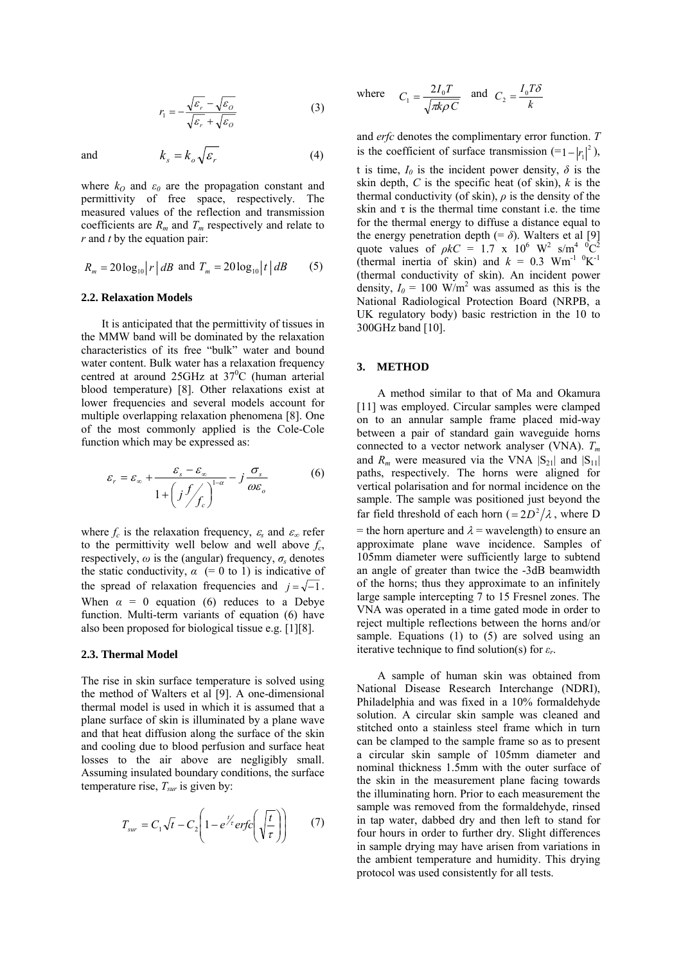$$
r_1 = -\frac{\sqrt{\varepsilon_r} - \sqrt{\varepsilon_o}}{\sqrt{\varepsilon_r} + \sqrt{\varepsilon_o}}
$$
 (3)

and 
$$
k_s = k_o \sqrt{\varepsilon_r}
$$
 (4)

where  $k_0$  and  $\varepsilon_0$  are the propagation constant and permittivity of free space, respectively. The measured values of the reflection and transmission coefficients are  $R_m$  and  $T_m$  respectively and relate to *r* and *t* by the equation pair:

$$
R_m = 20\log_{10}|r|dB
$$
 and  $T_m = 20\log_{10}|t|dB$  (5)

#### **2.2. Relaxation Models**

It is anticipated that the permittivity of tissues in the MMW band will be dominated by the relaxation characteristics of its free "bulk" water and bound water content. Bulk water has a relaxation frequency centred at around 25GHz at  $37^{\circ}$ C (human arterial blood temperature) [8]. Other relaxations exist at lower frequencies and several models account for multiple overlapping relaxation phenomena [8]. One of the most commonly applied is the Cole-Cole function which may be expressed as:

$$
\varepsilon_r = \varepsilon_\infty + \frac{\varepsilon_s - \varepsilon_\infty}{1 + \left(j \frac{f}{f_c}\right)^{1-\alpha}} - j \frac{\sigma_s}{\omega \varepsilon_o} \tag{6}
$$

where  $f_c$  is the relaxation frequency,  $\varepsilon_s$  and  $\varepsilon_{\infty}$  refer to the permittivity well below and well above *fc*, respectively,  $\omega$  is the (angular) frequency,  $\sigma$ <sub>s</sub> denotes the static conductivity,  $\alpha$  (= 0 to 1) is indicative of the spread of relaxation frequencies and  $j = \sqrt{-1}$ . When  $\alpha = 0$  equation (6) reduces to a Debye function. Multi-term variants of equation (6) have also been proposed for biological tissue e.g. [1][8].

#### **2.3. Thermal Model**

The rise in skin surface temperature is solved using the method of Walters et al [9]. A one-dimensional thermal model is used in which it is assumed that a plane surface of skin is illuminated by a plane wave and that heat diffusion along the surface of the skin and cooling due to blood perfusion and surface heat losses to the air above are negligibly small. Assuming insulated boundary conditions, the surface temperature rise, *Tsur* is given by:

$$
T_{sur} = C_1 \sqrt{t} - C_2 \left( 1 - e^{\frac{t}{\tau}} erfc\left(\sqrt{\frac{t}{\tau}}\right) \right) \tag{7}
$$

where 
$$
C_1 = \frac{2I_0T}{\sqrt{\pi k \rho C}}
$$
 and  $C_2 = \frac{I_0T\delta}{k}$ 

and *erfc* denotes the complimentary error function. *T* is the coefficient of surface transmission  $(=1-|r_1|^2)$ , t is time,  $I_0$  is the incident power density,  $\delta$  is the skin depth, *C* is the specific heat (of skin), *k* is the thermal conductivity (of skin),  $\rho$  is the density of the skin and  $\tau$  is the thermal time constant i.e. the time for the thermal energy to diffuse a distance equal to the energy penetration depth  $(=\delta)$ . Walters et al [9] quote values of  $\rho kC = 1.7$  x  $10^6$  W<sup>2</sup> s/m<sup>4</sup>  $^0C^2$ (thermal inertia of skin) and  $k = 0.3$  Wm<sup>-1 0</sup>K<sup>-1</sup> (thermal conductivity of skin). An incident power density,  $I_0 = 100$  W/m<sup>2</sup> was assumed as this is the National Radiological Protection Board (NRPB, a UK regulatory body) basic restriction in the 10 to 300GHz band [10].

#### **3. METHOD**

A method similar to that of Ma and Okamura [11] was employed. Circular samples were clamped on to an annular sample frame placed mid-way between a pair of standard gain waveguide horns connected to a vector network analyser (VNA).  $T_m$ and  $R_m$  were measured via the VNA  $|S_{21}|$  and  $|S_{11}|$ paths, respectively. The horns were aligned for vertical polarisation and for normal incidence on the sample. The sample was positioned just beyond the far field threshold of each horn  $( = 2D^2/\lambda)$ , where D = the horn aperture and  $\lambda$  = wavelength) to ensure an approximate plane wave incidence. Samples of 105mm diameter were sufficiently large to subtend an angle of greater than twice the -3dB beamwidth of the horns; thus they approximate to an infinitely large sample intercepting 7 to 15 Fresnel zones. The VNA was operated in a time gated mode in order to reject multiple reflections between the horns and/or sample. Equations (1) to (5) are solved using an iterative technique to find solution(s) for *εr*.

A sample of human skin was obtained from National Disease Research Interchange (NDRI), Philadelphia and was fixed in a 10% formaldehyde solution. A circular skin sample was cleaned and stitched onto a stainless steel frame which in turn can be clamped to the sample frame so as to present a circular skin sample of 105mm diameter and nominal thickness 1.5mm with the outer surface of the skin in the measurement plane facing towards the illuminating horn. Prior to each measurement the sample was removed from the formaldehyde, rinsed in tap water, dabbed dry and then left to stand for four hours in order to further dry. Slight differences in sample drying may have arisen from variations in the ambient temperature and humidity. This drying protocol was used consistently for all tests.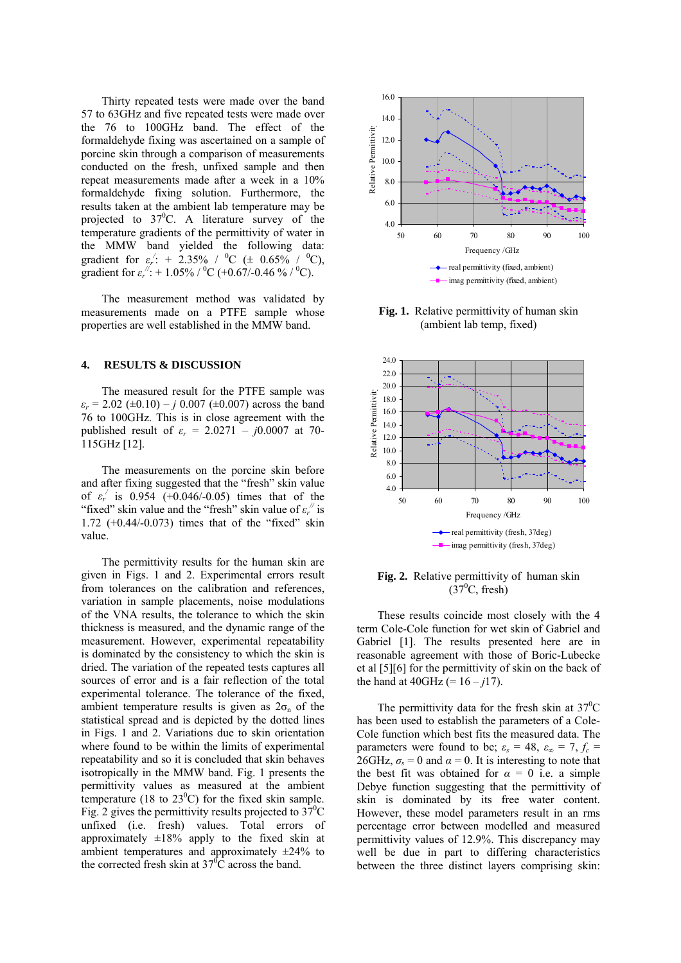Thirty repeated tests were made over the band 57 to 63GHz and five repeated tests were made over the 76 to 100GHz band. The effect of the formaldehyde fixing was ascertained on a sample of porcine skin through a comparison of measurements conducted on the fresh, unfixed sample and then repeat measurements made after a week in a 10% formaldehyde fixing solution. Furthermore, the results taken at the ambient lab temperature may be projected to  $37^{\circ}$ C. A literature survey of the temperature gradients of the permittivity of water in the MMW band yielded the following data: gradient for  $\varepsilon_r$ <sup>'</sup>: + 2.35% / <sup>0</sup>C ( $\pm$  0.65% / <sup>0</sup>C), gradient for  $\varepsilon_r^{\text{/}\prime}$ : + 1.05% / <sup>0</sup>C (+0.67/-0.46 % / <sup>0</sup>C).

The measurement method was validated by measurements made on a PTFE sample whose properties are well established in the MMW band.

#### **4. RESULTS & DISCUSSION**

The measured result for the PTFE sample was  $\varepsilon_r$  = 2.02 ( $\pm$ 0.10) – *j* 0.007 ( $\pm$ 0.007) across the band 76 to 100GHz. This is in close agreement with the published result of  $ε_r = 2.0271 - j0.0007$  at 70-115GHz [12].

The measurements on the porcine skin before and after fixing suggested that the "fresh" skin value of  $\varepsilon_r^{\prime}$  is 0.954 (+0.046/-0.05) times that of the "fixed" skin value and the "fresh" skin value of  $\varepsilon_r^{\prime\prime}$  is  $1.72$  (+0.44/-0.073) times that of the "fixed" skin value.

The permittivity results for the human skin are given in Figs. 1 and 2. Experimental errors result from tolerances on the calibration and references, variation in sample placements, noise modulations of the VNA results, the tolerance to which the skin thickness is measured, and the dynamic range of the measurement. However, experimental repeatability is dominated by the consistency to which the skin is dried. The variation of the repeated tests captures all sources of error and is a fair reflection of the total experimental tolerance. The tolerance of the fixed, ambient temperature results is given as  $2\sigma_n$  of the statistical spread and is depicted by the dotted lines in Figs. 1 and 2. Variations due to skin orientation where found to be within the limits of experimental repeatability and so it is concluded that skin behaves isotropically in the MMW band. Fig. 1 presents the permittivity values as measured at the ambient temperature (18 to  $23^{\circ}$ C) for the fixed skin sample. Fig. 2 gives the permittivity results projected to  $37^{\circ}$ C unfixed (i.e. fresh) values. Total errors of approximately  $\pm 18\%$  apply to the fixed skin at ambient temperatures and approximately  $\pm 24\%$  to the corrected fresh skin at  $37^{\circ}$ C across the band.



**Fig. 1.** Relative permittivity of human skin (ambient lab temp, fixed)





These results coincide most closely with the 4 term Cole-Cole function for wet skin of Gabriel and Gabriel [1]. The results presented here are in reasonable agreement with those of Boric-Lubecke et al [5][6] for the permittivity of skin on the back of the hand at  $40 \text{GHz} (= 16 - j17)$ .

The permittivity data for the fresh skin at  $37^{\circ}$ C has been used to establish the parameters of a Cole-Cole function which best fits the measured data. The parameters were found to be;  $\varepsilon$ <sub>s</sub> = 48,  $\varepsilon$ <sub>∞</sub> = 7,  $f_c$  = 26GHz,  $\sigma_s = 0$  and  $\alpha = 0$ . It is interesting to note that the best fit was obtained for  $\alpha = 0$  i.e. a simple Debye function suggesting that the permittivity of skin is dominated by its free water content. However, these model parameters result in an rms percentage error between modelled and measured permittivity values of 12.9%. This discrepancy may well be due in part to differing characteristics between the three distinct layers comprising skin: